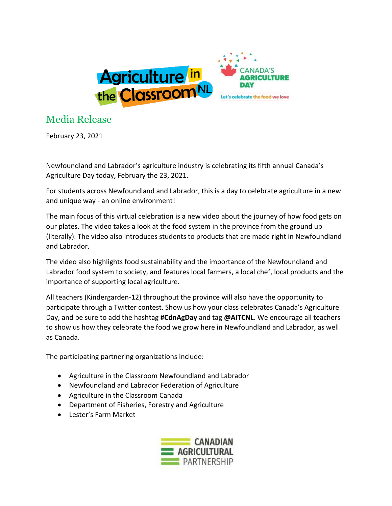

## Media Release

February 23, 2021

Newfoundland and Labrador's agriculture industry is celebrating its fifth annual Canada's Agriculture Day today, February the 23, 2021.

For students across Newfoundland and Labrador, this is a day to celebrate agriculture in a new and unique way - an online environment!

The main focus of this virtual celebration is a new video about the journey of how food gets on our plates. The video takes a look at the food system in the province from the ground up (literally). The video also introduces students to products that are made right in Newfoundland and Labrador.

The video also highlights food sustainability and the importance of the Newfoundland and Labrador food system to society, and features local farmers, a local chef, local products and the importance of supporting local agriculture.

All teachers (Kindergarden-12) throughout the province will also have the opportunity to participate through a Twitter contest. Show us how your class celebrates Canada's Agriculture Day, and be sure to add the hashtag **#CdnAgDay** and tag **@AITCNL**. We encourage all teachers to show us how they celebrate the food we grow here in Newfoundland and Labrador, as well as Canada.

The participating partnering organizations include:

- Agriculture in the Classroom Newfoundland and Labrador
- Newfoundland and Labrador Federation of Agriculture
- Agriculture in the Classroom Canada
- Department of Fisheries, Forestry and Agriculture
- Lester's Farm Market